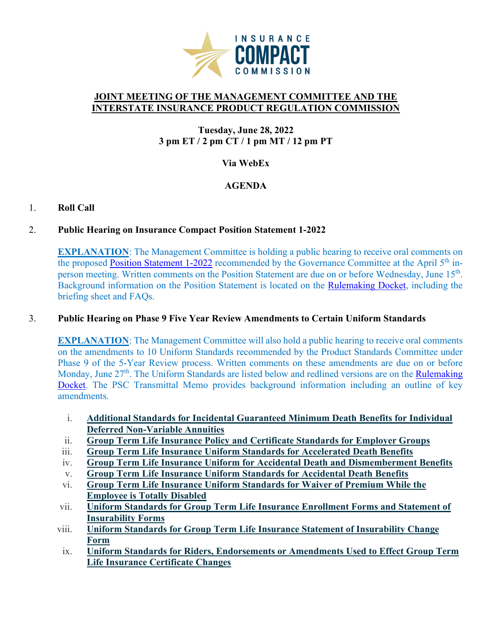

#### **JOINT MEETING OF THE MANAGEMENT COMMITTEE AND THE INTERSTATE INSURANCE PRODUCT REGULATION COMMISSION**

## **Tuesday, June 28, 2022 3 pm ET / 2 pm CT / 1 pm MT / 12 pm PT**

### **Via WebEx**

# **AGENDA**

### 1. **Roll Call**

### 2. **Public Hearing on Insurance Compact Position Statement 1-2022**

**EXPLANATION:** The Management Committee is holding a public hearing to receive oral comments on the proposed [Position Statement 1-2022](https://www.insurancecompact.org/sites/default/files/documents/220412%20PS%201-2022.pdf) recommended by the Governance Committee at the April 5<sup>th</sup> inperson meeting. Written comments on the Position Statement are due on or before Wednesday, June 15<sup>th</sup>. Background information on the Position Statement is located on the [Rulemaking Docket,](https://www.insurancecompact.org/docket-developing-standards) including the briefing sheet and FAQs.

### 3. **Public Hearing on Phase 9 Five Year Review Amendments to Certain Uniform Standards**

**EXPLANATION:** The Management Committee will also hold a public hearing to receive oral comments on the amendments to 10 Uniform Standards recommended by the Product Standards Committee under Phase 9 of the 5-Year Review process. Written comments on these amendments are due on or before Monday, June 27<sup>th</sup>. The Uniform Standards are listed below and redlined versions are on the Rulemaking [Docket.](https://www.insurancecompact.org/docket-developing-standards) The PSC Transmittal Memo provides background information including an outline of key amendments.

- i. **Additional Standards for Incidental [Guaranteed](https://www.insurancecompact.org/sites/default/files/documents/1214%20GMDB%20NV.pdf) Minimum Death Benefits for Individual Deferred [Non-Variable](https://www.insurancecompact.org/sites/default/files/documents/1214%20GMDB%20NV.pdf) Annuities**
- ii. **Group Term Life Insurance Policy and [Certificate](https://www.insurancecompact.org/sites/default/files/documents/0924G%20Term%20Policy%20-%20Adopted.pdf) Standards for Employer Groups**
- iii. **Group Term Life Insurance Uniform Standards for [Accelerated](https://www.insurancecompact.org/sites/default/files/documents/1214%20G%20ACCEL.pdf) Death Benefits**
- iv. **Group Term Life Insurance Uniform for Accidental Death and [Dismemberment](https://www.insurancecompact.org/sites/default/files/documents/0219%20G%20ADDB.pdf) Benefits**
- v. **Group Term Life Insurance Uniform Standards for [Accidental](https://www.insurancecompact.org/sites/default/files/documents/0219%20G%20ADB.pdf) Death Benefits**
- vi. **Group Term Life Insurance Uniform [Standards](https://www.insurancecompact.org/sites/default/files/documents/0219%20G%20WOP.pdf) for Waiver of Premium While the [Employee](https://www.insurancecompact.org/sites/default/files/documents/0219%20G%20WOP.pdf) is Totally Disabled**
- vii. **Uniform Standards for Group Term Life Insurance [Enrollment](https://www.insurancecompact.org/sites/default/files/documents/0225G%20Combined%20Enrollment%20%26%20Insurability.pdf) Forms and Statement of [Insurability](https://www.insurancecompact.org/sites/default/files/documents/0225G%20Combined%20Enrollment%20%26%20Insurability.pdf) Forms**
- viii. **Uniform Standards for Group Term Life Insurance Statement of [Insurability](https://www.insurancecompact.org/sites/default/files/documents/1120G%20Insurability%20Change.pdf) Change [Form](https://www.insurancecompact.org/sites/default/files/documents/1120G%20Insurability%20Change.pdf)**
- ix. **Uniform Standards for Riders, [Endorsements](https://www.insurancecompact.org/sites/default/files/documents/1128G%20Cert%20Change.pdf) or Amendments Used to Effect Group Term Life Insurance [Certificate](https://www.insurancecompact.org/sites/default/files/documents/1128G%20Cert%20Change.pdf) Changes**